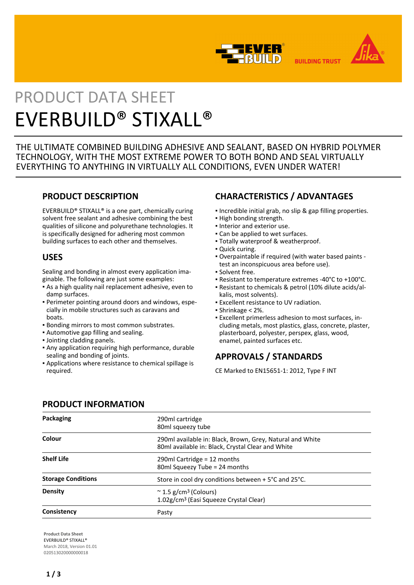



**BUILDING TRUST** 

# PRODUCT DATA SHEET EVERBUILD® STIXALL®

THE ULTIMATE COMBINED BUILDING ADHESIVE AND SEALANT, BASED ON HYBRID POLYMER TECHNOLOGY, WITH THE MOST EXTREME POWER TO BOTH BOND AND SEAL VIRTUALLY EVERYTHING TO ANYTHING IN VIRTUALLY ALL CONDITIONS, EVEN UNDER WATER!

## **PRODUCT DESCRIPTION**

EVERBUILD® STIXALL® is a one part, chemically curing solvent free sealant and adhesive combining the best qualities of silicone and polyurethane technologies. It is specifically designed for adhering most common building surfaces to each other and themselves.

## **USES**

Sealing and bonding in almost every application imaginable. The following are just some examples:

- **As a high quality nail replacement adhesive, even to** damp surfaces.
- Perimeter pointing around doors and windows, espe-▪ cially in mobile structures such as caravans and boats.
- Bonding mirrors to most common substrates.
- Automotive gap filling and sealing.
- Jointing cladding panels.
- **Any application requiring high performance, durable** sealing and bonding of joints.
- Applications where resistance to chemical spillage is required.

## **CHARACTERISTICS / ADVANTAGES**

- Incredible initial grab, no slip & gap filling properties.
- High bonding strength.
- Interior and exterior use.
- Can be applied to wet surfaces.
- Totally waterproof & weatherproof.
- Quick curing.
- Overpaintable if required (with water based paints ▪ test an inconspicuous area before use).
- Solvent free.
- Resistant to temperature extremes -40°C to +100°C.
- Resistant to chemicals & petrol (10% dilute acids/al-▪ kalis, most solvents).
- **Excellent resistance to UV radiation.**
- Shrinkage < 2%.
- Excellent primerless adhesion to most surfaces, in-▪ cluding metals, most plastics, glass, concrete, plaster, plasterboard, polyester, perspex, glass, wood, enamel, painted surfaces etc.

# **APPROVALS / STANDARDS**

CE Marked to EN15651-1: 2012, Type F INT

## **PRODUCT INFORMATION**

| Packaging                 | 290ml cartridge<br>80ml squeezy tube                                                                           |
|---------------------------|----------------------------------------------------------------------------------------------------------------|
| Colour                    | 290ml available in: Black, Brown, Grey, Natural and White<br>80ml available in: Black, Crystal Clear and White |
| <b>Shelf Life</b>         | 290ml Cartridge = $12$ months<br>80ml Squeezy Tube = 24 months                                                 |
| <b>Storage Conditions</b> | Store in cool dry conditions between + 5°C and 25°C.                                                           |
| <b>Density</b>            | $\approx$ 1.5 g/cm <sup>3</sup> (Colours)<br>1.02g/cm <sup>3</sup> (Easi Squeeze Crystal Clear)                |
| Consistency               | Pasty                                                                                                          |

**Product Data Sheet** EVERBUILD® STIXALL® March 2018, Version 01.01 020513020000000018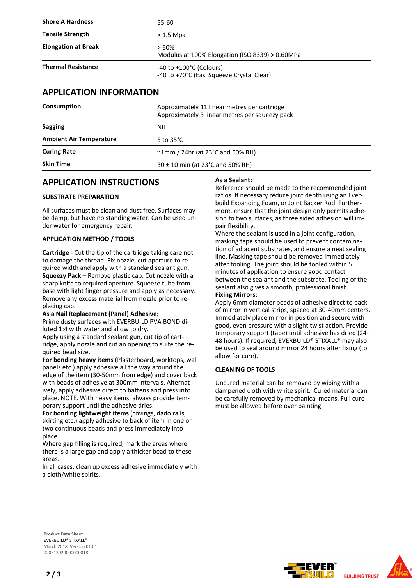| <b>Shore A Hardness</b>    | 55-60                                                                            |  |
|----------------------------|----------------------------------------------------------------------------------|--|
| <b>Tensile Strength</b>    | $> 1.5$ Mpa                                                                      |  |
| <b>Elongation at Break</b> | > 60%<br>Modulus at 100% Elongation (ISO 8339) > 0.60MPa                         |  |
| <b>Thermal Resistance</b>  | $-40$ to $+100^{\circ}$ C (Colours)<br>-40 to +70°C (Easi Squeeze Crystal Clear) |  |

## **APPLICATION INFORMATION**

| Approximately 11 linear metres per cartridge<br>Approximately 3 linear metres per squeezy pack |
|------------------------------------------------------------------------------------------------|
| Nil                                                                                            |
| 5 to $35^{\circ}$ C                                                                            |
| $\sim$ 1mm / 24hr (at 23 $\degree$ C and 50% RH)                                               |
| $30 \pm 10$ min (at 23°C and 50% RH)                                                           |
|                                                                                                |

## **APPLICATION INSTRUCTIONS**

### **SUBSTRATE PREPARATION**

All surfaces must be clean and dust free. Surfaces may be damp, but have no standing water. Can be used under water for emergency repair.

## **APPLICATION METHOD / TOOLS**

**Cartridge** - Cut the tip of the cartridge taking care not to damage the thread. Fix nozzle, cut aperture to required width and apply with a standard sealant gun. **Squeezy Pack** – Remove plastic cap. Cut nozzle with a sharp knife to required aperture. Squeeze tube from base with light finger pressure and apply as necessary. Remove any excess material from nozzle prior to replacing cap.

#### **As a Nail Replacement (Panel) Adhesive:**

Prime dusty surfaces with EVERBUILD PVA BOND diluted 1:4 with water and allow to dry.

Apply using a standard sealant gun, cut tip of cartridge, apply nozzle and cut an opening to suite the required bead size.

**For bonding heavy items** (Plasterboard, worktops, wall panels etc.) apply adhesive all the way around the edge of the item (30-50mm from edge) and cover back with beads of adhesive at 300mm intervals. Alternatively, apply adhesive direct to battens and press into place. NOTE. With heavy items, always provide temporary support until the adhesive dries.

**For bonding lightweight items** (covings, dado rails, skirting etc.) apply adhesive to back of item in one or two continuous beads and press immediately into place.

Where gap filling is required, mark the areas where there is a large gap and apply a thicker bead to these areas.

In all cases, clean up excess adhesive immediately with a cloth/white spirits.

#### **As a Sealant:**

Reference should be made to the recommended joint ratios. If necessary reduce joint depth using an Everbuild Expanding Foam, or Joint Backer Rod. Furthermore, ensure that the joint design only permits adhesion to two surfaces, as three sided adhesion will impair flexibility.

Where the sealant is used in a joint configuration, masking tape should be used to prevent contamination of adjacent substrates, and ensure a neat sealing line. Masking tape should be removed immediately after tooling. The joint should be tooled within 5 minutes of application to ensure good contact between the sealant and the substrate. Tooling of the sealant also gives a smooth, professional finish. **Fixing Mirrors:**

Apply 6mm diameter beads of adhesive direct to back of mirror in vertical strips, spaced at 30-40mm centers. Immediately place mirror in position and secure with good, even pressure with a slight twist action. Provide temporary support (tape) until adhesive has dried (24- 48 hours). If required, EVERBUILD® STIXALL® may also be used to seal around mirror 24 hours after fixing (to allow for cure).

#### **CLEANING OF TOOLS**

Uncured material can be removed by wiping with a dampened cloth with white spirit. Cured material can be carefully removed by mechanical means. Full cure must be allowed before over painting.

**Product Data Sheet** EVERBUILD® STIXALL® March 2018, Version 01.01 020513020000000018